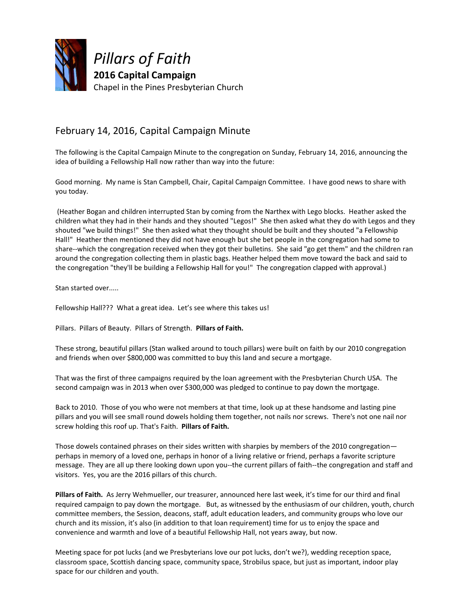

## February 14, 2016, Capital Campaign Minute

The following is the Capital Campaign Minute to the congregation on Sunday, February 14, 2016, announcing the idea of building a Fellowship Hall now rather than way into the future:

Good morning. My name is Stan Campbell, Chair, Capital Campaign Committee. I have good news to share with you today.

(Heather Bogan and children interrupted Stan by coming from the Narthex with Lego blocks. Heather asked the children what they had in their hands and they shouted "Legos!" She then asked what they do with Legos and they shouted "we build things!" She then asked what they thought should be built and they shouted "a Fellowship Hall!" Heather then mentioned they did not have enough but she bet people in the congregation had some to share--which the congregation received when they got their bulletins. She said "go get them" and the children ran around the congregation collecting them in plastic bags. Heather helped them move toward the back and said to the congregation "they'll be building a Fellowship Hall for you!" The congregation clapped with approval.)

Stan started over.....

Fellowship Hall??? What a great idea. Let's see where this takes us!

Pillars. Pillars of Beauty. Pillars of Strength. **Pillars of Faith.**

These strong, beautiful pillars (Stan walked around to touch pillars) were built on faith by our 2010 congregation and friends when over \$800,000 was committed to buy this land and secure a mortgage.

That was the first of three campaigns required by the loan agreement with the Presbyterian Church USA. The second campaign was in 2013 when over \$300,000 was pledged to continue to pay down the mortgage.

Back to 2010. Those of you who were not members at that time, look up at these handsome and lasting pine pillars and you will see small round dowels holding them together, not nails nor screws. There's not one nail nor screw holding this roof up. That's Faith. **Pillars of Faith.**

Those dowels contained phrases on their sides written with sharpies by members of the 2010 congregation perhaps in memory of a loved one, perhaps in honor of a living relative or friend, perhaps a favorite scripture message. They are all up there looking down upon you--the current pillars of faith--the congregation and staff and visitors. Yes, you are the 2016 pillars of this church.

**Pillars of Faith.** As Jerry Wehmueller, our treasurer, announced here last week, it's time for our third and final required campaign to pay down the mortgage. But, as witnessed by the enthusiasm of our children, youth, church committee members, the Session, deacons, staff, adult education leaders, and community groups who love our church and its mission, it's also (in addition to that loan requirement) time for us to enjoy the space and convenience and warmth and love of a beautiful Fellowship Hall, not years away, but now.

Meeting space for pot lucks (and we Presbyterians love our pot lucks, don't we?), wedding reception space, classroom space, Scottish dancing space, community space, Strobilus space, but just as important, indoor play space for our children and youth.